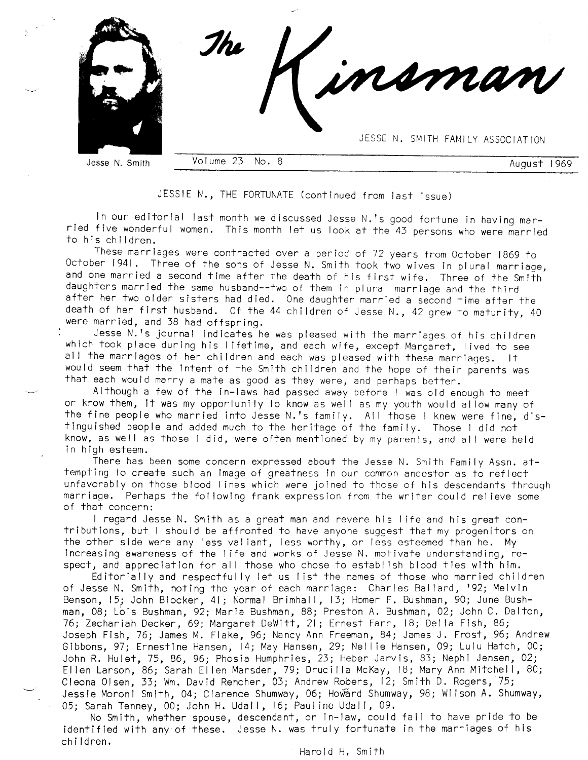

JESSIE N., THE FORTUNATE (continued from last issue)

In our editorial last month we discussed Jesse N.?s good fortune in having mar- ried five wonderful women. This month let us look at the 43 persons who were married to his children.

These marriages were contracted over a period of 72 years from October 1869 to October 1941. Three of the sons of Jesse N. Smith took two wives in plural marriage, and one married a second time after the death of his first daughters married the same husband--two of them in plural marriage and the third<br>after her two older sisters had died. One daughter married a second time after the<br>death of her first husband. Of the 44 children of Jesse N. were married, and 38 had offspring.

Jesse N.'s journal indicates he was pleased with the marriages of his children which took place during his lifetime, and each wife, except Margaret, lived to see all the marriages of her children and each was pleased with these marriages. It would seem that the intent of the Smith children and the hope of their parents was that each would marry a mate as good as they were, and perhaps better.

Although a few of the in-laws had passed away before I was old enough to meei or know them, it was my opportunity to know as well as my youth would allow many of the fine people who married into Jesse N.'s family. All those I knew were fine, dis-<br>tinguished people and added much to the heritage of the family. Those I did not know, as well as those I did, were often mentioned by my parents, and all were held<br>in high esteem.

There has been some concern expressed about the Jesse N. Smith Family Assn. attempting to create such an image of greatness in our common ancestor as to reflect unfavorably on those blood I ines which were joined to those of his descendants throuqh marriage. Perhaps the following frank expression from the writer could relieve some<br>of that concern:

I regard Jesse N. Smith as a great man and revere his I ife and his great contributions, but I should be affronted to have anyone suggest that my progenitors on the ofher side were any less val iant, less worthy, or less esteemed fhan he. My increasing awareness of the I ife and works of Jesse N. motivafe understanding, respect, and appreciation for all those who chose to establish blood ties with him.

Editorially and respectfully let us list the names of those who married children of Jesse N. Smith, noting the year of each marriage: Charles Ballard, '92; Melvin Benson, 15; John Blocker, 41; Normal Brimhall, 13; Homer F. Bushman, 90; June Bushman, 08; Lois Bushman, 92; Maria Bushman, 88; Preston A. Bushman, 02; John C. Dalton, 76; Zechariah Decker, 69; Margaret DeWitt, 2l; Ernest Farr, lB; Del la Fish, 86; Joseph Fish, 76; James M. Flake,96; Nancy Ann Freeman, 84; James J. Frost, 96; Andrew Gibbons, 97; Ernestine Hansen, 14; May Hansen, 29; Nellie Hansen, 09; Lulu Hatch, 00; John R. Hulet,75,86,96; Phosia Humphries, 23; Heber Jarvis, 83; Nephi Jensen,02; Ellen Larson, 86; Sarah El len Marsden, T9; Drucilla McKay, lB; Mary Ann Mitchell, B0; Cleona Olsen, 33; Wm. David Rencher, 03; Andrew Robers, 12; Smith D. Rogers, 75; Jessie Moroni Smith, 04; Clarence Shumway, 06; Howard Shumway, 98; Wilson A. Shumway, 05; Sarah Tenney, 00; John H. Udall, 16; Pauline Udall, 09.

No Smith, whether spouse, descendant, or in-law, could fail to have pride fo be identified with any of these. Jesse N. was truly fortunate in the marriages of his ch i I dren.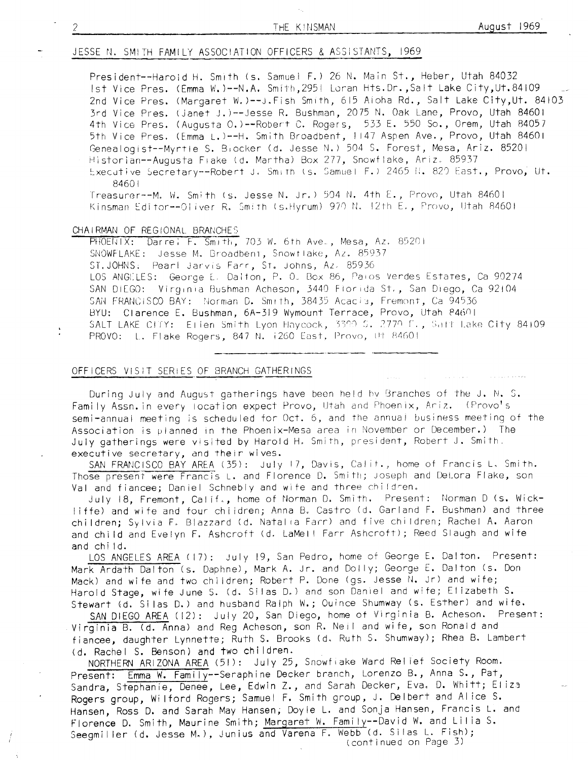## JESSE N. SMITH FAMILY ASSOCIATION OFFICERS & ASSISTANTS, 1969

President--Haroid H. Smith (s. Samuel F.) 26 N. Main St., Heber, Utah 84032 Ist Vice Pres. (Emma W.)--N.A. Smith, 295| Loran Hts.Dr., Salt Lake City, Ut.84109 2nd Vice Pres. (Margaret W.)--J. Fish Smith, 615 Aioha Rd., Salt Lake City, Ut. 84103 3rd Vice Pres. (Janet J.)--Jesse R. Bushman, 2075 N. Oak Lane, Provo, Utah 84601 4th Vice Pres. (Augusta 0.)--Robert C. Rogers, 533 E. 550 So., Orem, Utah 84057 5th Vice Pres. (Emma L.)--H. Smith Broadbent, 1147 Aspen Ave., Provo, Utah 84601 Genealogist--Myrtle S. Biocker (d. Jesse N.) 504 S. Forest, Mesa, Ariz. 85201 Historian--Augusta Flake (d. Martha) Box 277, Snowflake, Ariz. 85937 Executive Secretary--Robert J. Smith (s. Samuel F.) 2465 N. 820 East., Provo, Ut. 84601

Treasurer--M. W. Smith (s. Jesse N. Jr.) 504 N. 4th E., Provo, Utah 84601 Kinsman Editor--Oliver R. Smith (s.Hyrum) 970 N. 12th E., Provo, Utah 84601

#### CHAIRMAN OF REGIONAL BRANCHES

PHOENIX: Darrel F. Smith, 703 W. 6th Ave., Mesa, Az. 85201 SNOWFLAKE: Jesse M. Broadbent, Snowflake, Az. 85937 ST. JOHNS: Pearl Jarvis Farr, St. Johns, Az. 85936 LOS ANGELES: George E. Dalton, P. O. Box 86, Paios Verdes Estates, Ca 90274 SAN DIEGO: Virginia Bushman Acheson, 3440 Florida St., San Diego, Ca 92104 SAN FRANCISCO BAY: Norman D. Smith, 38435 Acacia, Fremont, Ca 94536 BYU: Clarence E. Bushman, 6A-319 Wymount Terrace, Provo, Utah 84601 SALT LAKE CITY: Elien Smith Lyon Haycock, 3390 S. 2770 F., Salt Lake City 84109 PROVO: L. Flake Rogers, 847 N. i260 East, Provo, Ut 84601

#### OFFICERS VISIT SERIES OF BRANCH GATHERINGS

During July and August gatherings have been held by Branches of the J. N. S. Family Assn. in every location expect Provo, Utah and Phoenix, Ariz. (Provo's semi-annual meeting is scheduled for Oct. 6, and the annual business meeting of the Association is planned in the Phoenix-Mesa area in November or December.) The July gatherings were visited by Harold H. Smith, president, Robert J. Smith. executive secretary, and their wives.

SAN FRANCISCO BAY AREA (35): July 17, Davis, Calit., home of Francis L. Smith. Those present were Francis L. and Florence D. Smith; Joseph and DeLora Flake, son Val and fiancee; Daniel Schnebly and wife and three children.

July 18, Fremont, Calif., home of Norman D. Smith. Present: Norman D (s. Wickliffe) and wife and four children; Anna B. Castro (d. Garland F. Bushman) and three children; Sylvia F. Blazzard (d. Natalia Farr) and five children; Rachel A. Aaron and child and Evelyn F. Ashcroft (d. LaMell Farr Ashcroft); Reed Slaugh and wife and child.

LOS ANGELES AREA (17): July 19, San Pedro, home of George E. Dalton. Present: Mark Ardath Dalton (s. Daphne), Mark A. Jr. and Dolly; George E. Dalton (s. Don Mack) and wife and two children; Robert P. Done (gs. Jesse N. Jr) and wife; Harold Stage, wife June S. (d. Silas D.) and son Daniel and wife; Elizabeth S. Stewart (d. Silas D.) and husband Ralph W.; Ouince Shumway (s. Esther) and wife.

SAN DIEGO AREA (12): July 20, San Diego, home of Virginia B. Acheson. Present: Virginia B. (d. Anna) and Reg Acheson, son R. Neil and wife, son Ronald and fiancee, daughter Lynnette; Ruth S. Brooks (d. Ruth S. Shumway); Rhea B. Lambert (d. Rachel S. Benson) and two children.

NORTHERN ARIZONA AREA (51): July 25, Snowfiake Ward Relief Society Room. Emma W. Family--Seraphine Decker branch, Lorenzo B., Anna S., Pat, Present: Sandra, Stephanie, Denee, Lee, Edwin Z., and Sarah Decker, Eva. D. Whitt; Eliza Rogers group, Wilford Rogers; Samuel F. Smith group, J. Delbert and Alice S. Hansen, Ross D. and Sarah May Hansen, Doyle L. and Sonja Hansen, Francis L. and Florence D. Smith, Maurine Smith; Margaret W. Family--David W. and Lilia S. Seegmiller (d. Jesse M.), Junius and Varena F. Webb (d. Silas L. Fish); (continued on Page 3)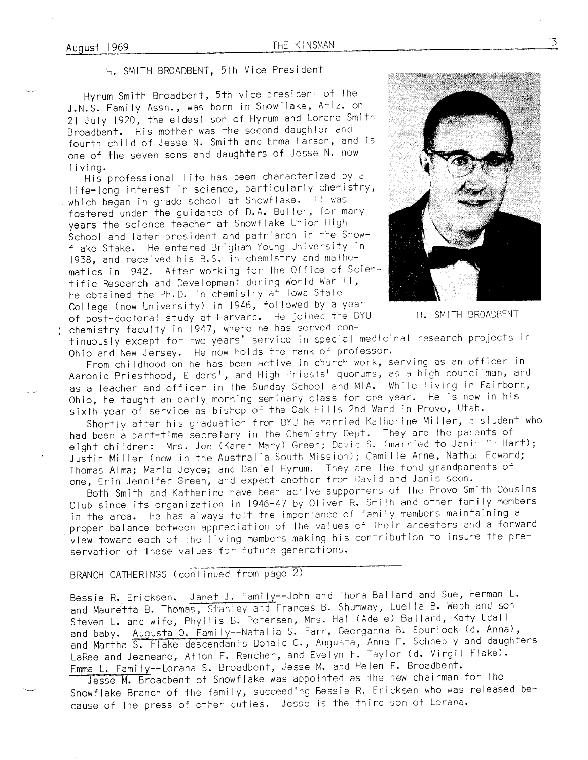H. SMITH BROADBENT, 5th Vice Presidenf

Hyrum Smith Broadbent, 5th vice president of the J.N.S. Family Assn., was born in Snowflake, Ariz. on 2l July lg2o, the eldest son of Hyrum and Lorana Smith Broadbent. His mother was the second daughter and fourth chi ld of Jesse N. Smith and Emma Larson, and is one of the seven sons and daughters of Jesse N. now living.

His professional life has been characterized by a <sup>I</sup>ife-long interest in science, pariicularly chemistry, which began in grade school at Snowflake. It was fostered under the guidance of D.A. Butler, for many years the science teacher at Snowf lake Union High School and lafer president and patriarch in the Snowflake Stake. He entered Brigham Young University in 1938, and received his B.S. in chemistry and mathematics in 1942. After working for fhe 0ffice of Scientific Research and Development during World War ll, he obtained the Ph.D. in chemistry at lowa State Col lege (now University) in 1946, fol lowed by a year of post-doctoral study at Harvard. He joined the BYU H. SMITH BROADBENT chemistry faculty in 1941, where he has served con-



tinuously except for two years' service in special medicinal research projects in Ohio and New Jersey. He now holds the rank of professor.

From chi ldhood on he has been active in church work, serving as an officer in Aaronic Priesthood, Elders', and High Priests' quorums, as a high councilman, and as a teacher and officer in the Sunday School and MIA. While living in Fairborn, Ohio, he taught an early morning seminary class for one year. He is now in his sixth year of service as bishop of the Oak Hills 2nd Ward in Provo, Utah.

Shortly after his graduation from BYU he married Katherine Miller, a student who had been a part-time secretary in the Chemistry Dept. They are the parents of eight children: Mrs. Jon (Karen Mary) Green; David S. (married to Janie De Hart); Justin Miller (now in the Australia South Mission); Camille Anne, Nathan Edward; Thomas Alma; Marla Joyce; and Daniel Hyrum. They are the fond grandparents of one, Erin Jennifer Green, and expect another from David and Janis soon.

Both Smith and Katherine have been active supporters of the Provo Smith Cousins Club since its organization in 1946-41 by Ol iver R. Smith and other family members in the area. He has always felt the importance of family members maintaining a proper balance between appreciation of the values of their ancestors and a forward view toward each of the I iving members making his contribution to insure the preservation of these values for future generations.

# BRANCH GATHERINGS (continued from page 2)

Bessie R. Ericksen. Janet J. Family--John and Thora Ballard and Sue, Herman L. and Mauretta B. Thomas, Stanley and Frances B. Shumway, Luella B. Webb and son Steven L. and wife, Phyllis B. Petersen, Mrs. Hal (Adele) Ballard, Katy Udall and baby. Augusta O. Family--Natalia S. Farr, Georganna B. Spurlock (d. Anna), and Martha S. Flake descendants Donald C., Augusta, Anna F. Schnebly and daughters LaRee and Jeaneane, Afton F. Rencher, and Evelyn F. Taylor (d. Virgil Flake). Emma L. Family--Lorana S. Broadbent, Jesse M. and Helen F. Broadbent.

Jesse M. Broadbent of Snowflake was appointed as the new chairman for the Snowflake Branch of the family, succeeding Bessie R. Ericksen who was released because of the press of other duties. Jesse is the third son of Lorana.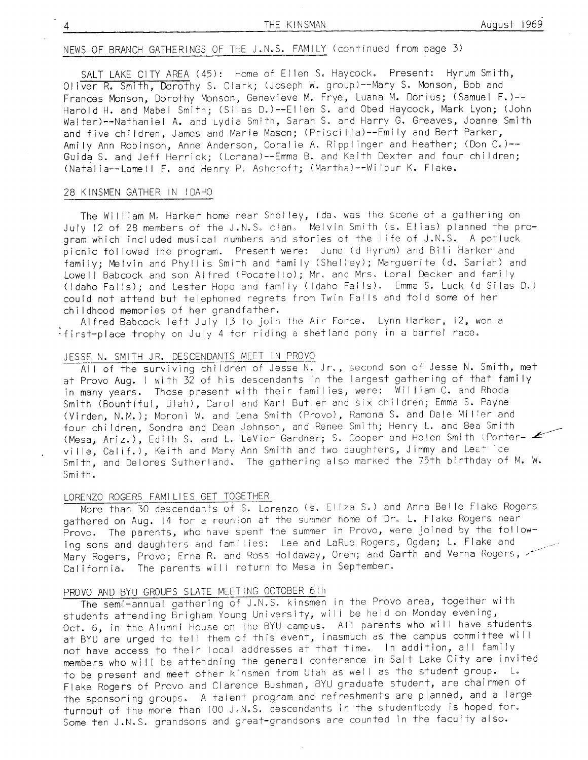# NEWS OF BRANCH GATHERINGS OF THE J.N.S. FAMILY (continued from page 3)

SALT LAKE CITY AREA (45): Home of Ellen S. Haycock. Present: Hyrum Smith. Oliver R. Smith, Dorothy S. Clark; (Joseph W. group)--Mary S. Monson, Bob and Frances Monson, Dorothy Monson, Genevieve M. Frye, Luana M. Dorius; (Samuel F.)--Harold H. and Mabel Smith; (Silas D.)--Ellen S. and Obed Haycock, Mark Lyon; (John Walter)--Nathaniel A. and Lydia Smith, Sarah S. and Harry G. Greaves, Joanne Smith and five children, James and Marie Mason; (Priscilla)--Emily and Bert Parker, Amily Ann Robinson, Anne Anderson, Coralie A. Ripplinger and Heather; (Don C.) --Guida S. and Jeff Herrick; (Lorana)--Emma B. and Keith Dexter and four children; (Natalia--Lamell F. and Henry P. Ashcroft; (Martha)--Wilbur K. Flake.

#### 28 KINSMEN GATHER IN IDAHO

The William M. Harker home near Shelley, Ida. was the scene of a gathering on July 12 of 28 members of the J.N.S. clan. Melvin Smith (s. Elias) planned the program which included musical numbers and stories of the life of J.N.S. A potluck picnic followed the program. Present were: June (d Hyrum) and Bili Harker and family; Melvin and Phyllis Smith and family (Shelley); Marguerite (d. Sariah) and Lowell Babcock and son Alfred (Pocatello); Mr. and Mrs. Loral Decker and family (Idaho Falls); and Lester Hope and family (Idaho Falls). Emma S. Luck (d Silas D.) could not attend but telephoned regrets from Twin Falls and told some of her childhood memories of her grandfather.

Alfred Babcock left July 13 to join the Air Force. Lynn Harker, 12, won a first-place trophy on July 4 for riding a shetland pony in a barrel race.

# JESSE N. SMITH JR. DESCENDANTS MEET IN PROVO

All of the surviving children of Jesse N. Jr., second son of Jesse N. Smith, met at Provo Aug. I with 32 of his descendants in the largest gathering of that family in many years. Those present with their families, were: William C. and Rhoda Smith (Bountiful, Utah), Carol and Karl Butler and six children; Emma S. Payne (Virden, N.M.); Moroni W. and Lena Smith (Provo), Ramona S. and Dale Miller and four children, Sondra and Dean Johnson, and Renee Smith; Henry L. and Bea Smith (Mesa, Ariz.), Edith S. and L. LeVier Gardner; S. Cooper and Helen Smith (Porterville, Calif.), Keith and Mary Ann Smith and two daughters, Jimmy and Leat Lee Smith, and Delores Sutherland. The gathering also marked the 75th birthday of M. W. Smith.

## LORENZO ROGERS FAMILIES GET TOGETHER

More than 30 descendants of S. Lorenzo (s. Eliza S.) and Anna Belle Flake Rogers gathered on Aug. 14 for a reunion at the summer home of Dr. L. Flake Rogers near Provo. The parents, who have spent the summer in Provo, were joined by the following sons and daughters and families: Lee and LaRue Rogers, Ogden; L. Flake and Mary Rogers, Provo; Erna R. and Ross Holdaway, Orem; and Garth and Verna Rogers, California. The parents will return to Mesa in September.

### PROVO AND BYU GROUPS SLATE MEETING OCTOBER 6th

The semi-annual gathering of J.N.S. kinsmen in the Provo area, together with students attending Brigham Young University, will be held on Monday evening, Oct. 6, in the Alumni House on the BYU campus. All parents who will have students at BYU are urged to tell them of this event, inasmuch as the campus committee will not have access to their local addresses at that time. In addition, all family members who will be attendning the general conference in Salt Lake City are invited to be present and meet other kinsmen from Utah as well as the student group. L. Flake Rogers of Provo and Clarence Bushman, BYU graduate student, are chairmen of the sponsoring groups. A talent program and refreshments are planned, and a large turnout of the more than 100 J.N.S. descendants in the studentbody is hoped for. Some ten J.N.S. grandsons and great-grandsons are counted in the faculty also.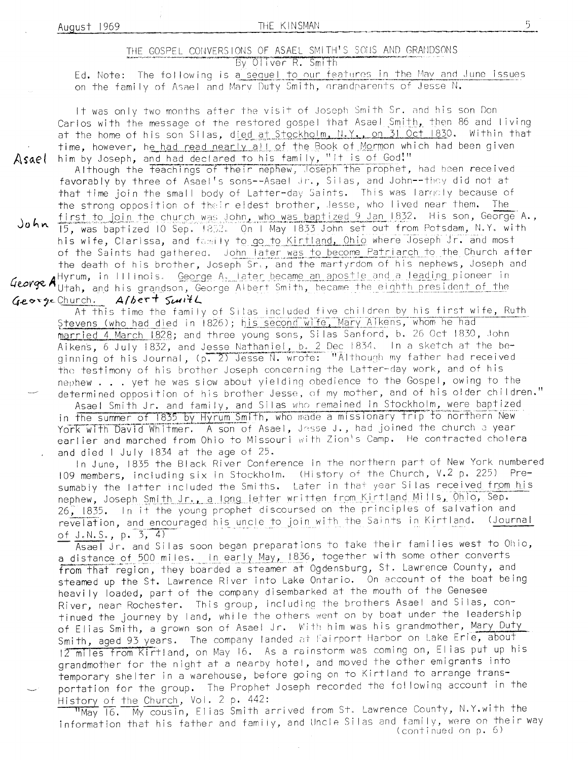THE KINSMAN

# THE GOSPEL CONVERSIONS OF ASAEL SMITH'S SONS AND GRANDSONS

By Oliver R. Smith

Ed. Note: The following is a sequel to our features in the May and June issues on the family of Asael and Mary Duty Smith, grandparents of Jesse N.

It was only two months after the visit of Joseph Smith Sr. and his son Don Carlos with the message of the restored gospel that Asael Smith, then 86 and living at the home of his son Silas, died at Stockholm, N.Y., on 31 Oct 1830. Within that time, however, he had read nearly all of the Book of Mormon which had been given him by Joseph, and had declared to his family, "It is of God!"

Although the feachings of their nephew, Joseph the prophet, had been received favorably by three of Asael's sons--Asael Jr., Silas, and John--they did not at that time join the small body of Latter-day Saints. This was largely because of the strong opposition of their eldest brother, Jesse, who lived near them. The first to join the church was John, who was baptized 9 Jan 1832. His son, George A.,

John 15, was baptized 10 Sep. 1852. On 1 May 1833 John set out from Potsdam, N.Y. with his wife, Clarissa, and family to go to Kirtland, Ohio where Joseph Jr. and most of the Saints had gathered. John later was to become Patriarch to the Church after the death of his brother, Joseph Sr., and the martyrdom of his nephews, Joseph and

George Allyrum, in Illinois. George A, later became an apostle and a leading pioneer in<br>George Alutah, and his grandson, George Albert Smith, became the eighth president of the George Church. Albert Swith

At this time the family of Silas included five children by his first wife, Ruth Stevens (who had died in 1826); his second wife, Mary Aikens, whom he had married 4 March 1828; and three young sons, Silas Sanford, b. 26 Oct 1830, John Aikens, 6 July 1832, and Jesse Nathaniel, b. 2 Dec 1834. In a sketch at the beginning of his Journal, (p. 2) Jesse N. wrote: "Although my father had received the testimony of his brother Joseph concerning the Latter-day work, and of his nephew . . . yet he was slow about yielding obedience to the Gospel, owing to the determined opposition of his brother Jesse, of my mother, and of his older children."

Asael Smith Jr. and family, and Silas who remained in Stockholm, were baptized in the summer of 1835 by Hyrum Smith, who made a missionary trip to northern New York with David Whitmer. A son of Asael, Jesse J., had joined the church a year earlier and marched from Ohio to Missouri with Zion's Camp. He contracted cholera and died I July 1834 at the age of 25.

In June, 1835 the Black River Conference in the northern part of New York numbered 109 members, including six in Stockholm. (History of the Church, V.2 p. 225) Presumably the latter included the Smiths. Later in that year Silas received from his nephew, Joseph Smith Jr., a long letter written from Kirtland Mills, Ohio, Sep. 26, 1835. In it the young prophet discoursed on the principles of salvation and revelation, and encouraged his uncle to join with the Saints in Kirtland. (Journal of  $J.N.S., p. 3, 4)$ 

Asael Jr. and Silas soon began preparations to take their families west to Ohio, a distance of 500 miles. In early May, 1836, together with some other converts from that region, they boarded a steamer at Ogdensburg, St. Lawrence County, and steamed up the St. Lawrence River into Lake Ontario. On account of the boat being heavily loaded, part of the company disembarked at the mouth of the Genesee River, near Rochester. This group, including the brothers Asael and Silas, continued the journey by land, while the others went on by boat under the leadership of Elias Smith, a grown son of Asael Jr. With him was his grandmother, Mary Duty Smith, aged 93 years. The company landed at Fairport Harbor on Lake Erie, about 12 miles from Kirtland, on May 16. As a rainstorm was coming on, Elias put up his grandmother for the night at a nearby hotel, and moved the other emigrants into temporary shelter in a warehouse, before going on to Kirtland to arrange transportation for the group. The Prophet Joseph recorded the following account in the History of the Church, Vol. 2 p. 442:

"May 16. My cousin, Elias Smith arrived from St. Lawrence County, N.Y.with the information that his father and family, and Uncle Silas and family, were on their way (continued on p. 6)

Asael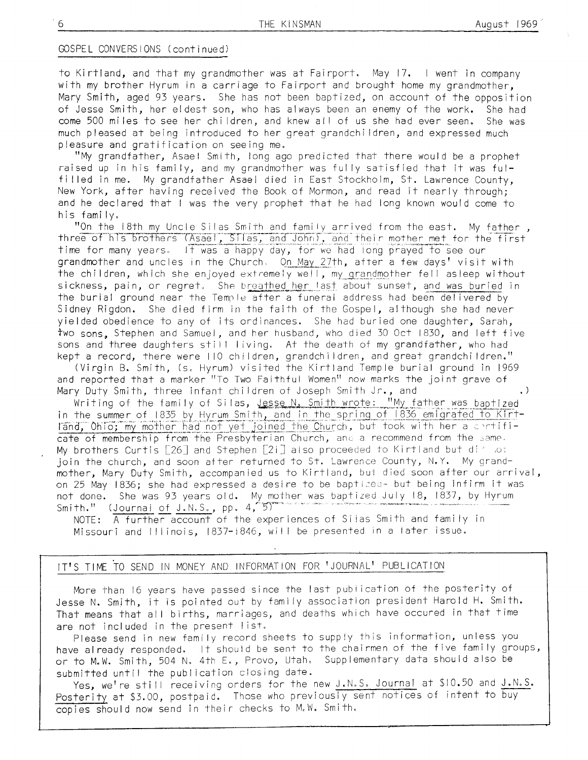### GOSPEL CONVERSIONS (continued)

to Kirtland, and that my grandmother was at Fairport. May 17. I went in company with my brother Hyrum in a carriage to Fairport and brought home my grandmother. Mary Smith, aged 93 years. She has not been baptized, on account of the opposition of Jesse Smith, her eldest son, who has always been an enemy of the work. She had come 500 miles to see her children, and knew all of us she had ever seen. She was much pleased at being introduced to her great grandchildren, and expressed much pleasure and gratification on seeing me.

"My grandfather, Asael Smith, long ago predicted that there would be a prophet raised up in his family, and my grandmother was fully satisfied that it was fulfilled in me. My grandfather Asael died in East Stockholm, St. Lawrence County, New York, after having received the Book of Mormon, and read it nearly through; and he declared that I was the very prophet that he had long known would come to his family.

"On the 18th my Uncle Silas Smith and family arrived from the east. My father, three of his brothers (Asael, Silas, and John), and their mother met for the first time for many years. It was a happy day, for we had long prayed to see our grandmother and uncles in the Church. On May 27th, after a few days' visit with the children, which she enjoyed extremely well, my grandmother fell asleep without sickness, pain, or regret. She breathed her last about sunset, and was buried in the burial ground near the Temple after a funeral address had been delivered by Sidney Rigdon. She died firm in the faith of the Gospel, although she had never yielded obedience to any of its ordinances. She had buried one daughter, Sarah, two sons, Stephen and Samuel, and her husband, who died 30 Oct 1830, and left five sons and three daughters still living. At the death of my grandfather, who had kept a record, there were 110 children, grandchildren, and great grandchildren."

(Virgin B. Smith, (s. Hyrum) visited the Kirtland Temple burial ground in 1969 and reported that a marker "To Two Faithful Women" now marks the joint grave of Mary Duty Smith, three infant children of Joseph Smith Jr., and  $\cdot$ )

Writing of the family of Silas, Jesse N. Smith wrote: "My father was baptized in the summer of 1835 by Hyrum Smith, and in the spring of 1836 emigrated to Kirtland, Ohio; my mother had not yet joined the Church, but took with her a contificate of membership from the Presbyterian Church, and a recommend from the same. My brothers Curtis [26] and Stephen [21] also proceeded to Kirtland but division join the church, and soon after returned to St. Lawrence County, N.Y. My grandmother, Mary Duty Smith, accompanied us to Kirtland, but died soon after our arrival, on 25 May 1836; she had expressed a desire to be baptized- but being infirm it was not done. She was 93 years old. My mother was baptized July 18, 1837, by Hyrum Smith." (Journal of J.N.S., pp. 4, 5)

NOTE: A further account of the experiences of Silas Smith and family in Missouri and Illinois, 1837-1846, will be presented in a later issue.

### IT'S TIME TO SEND IN MONEY AND INFORMATION FOR 'JOURNAL' PUBLICATION

More than 16 years have passed since the last publication of the posterity of Jesse N. Smith, it is pointed out by family association president Harold H. Smith. That means that all births, marriages, and deaths which have occured in that time are not included in the present list.

Please send in new family record sheets to supply this information, unless you have already responded. It should be sent to the chairmen of the five family groups, or to M.W. Smith, 504 N. 4th E., Provo, Utah. Supplementary data should also be submitted until the publication closing date.

Yes, we're still receiving orders for the new J.N.S. Journal at \$10.50 and J.N.S. Posterity at \$3.00, postpaid. Those who previously sent notices of intent to buy copies should now send in their checks to M.W. Smith.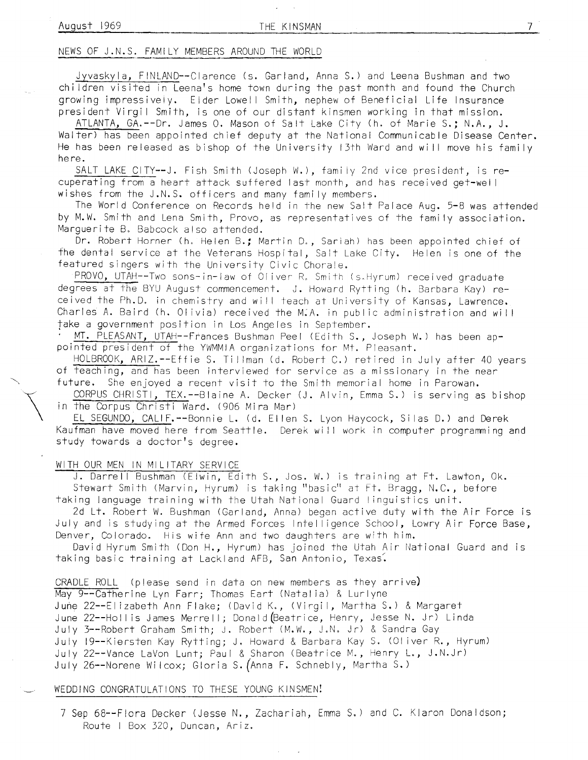#### NEWS OF J.N.S. FAN4ILY MEMBERS AROUND THE WORLD

Jyvaskyla, FINLAND--Clarence (s. Garland, Anna S.) and Leena Bushman and two children visited in Leena's home town during the past month and found the Church growing impressively. Elder Lowell Smith, nephew of Beneficial Life Insurance president Virgil Smith, is one of our distant kinsmen working in that mission.

ATLANTA, GA.--Dr. James O. Mason of Salt Lake City (h. of Marie S.: N.A., J. Walter) has been appointed chief deputy at the National Communicable Disease Center. He has been released as bishop of the University 13th Ward and will move his family he re.

SALT LAKE CITY--J. Fish Smith (Joseph W.), family 2nd vice president, is re-<br>cuperating from a heart attack suffered last month, and has received get-well wishes from the J.N.S. officers and many family members.

The World Conference on Records held in the new Salt Palace Aug. 5-B was attended by M.W. Smith and Lena Smith, Provo, as representatives of the family association. Marguerite B. Babcock also attended.

Dr. Robert Horner (h. Helen B.; Marfin D., Sariah) has been appointed cbief of fhe dental service at the Veterans Hospital, Sait Lake City. Helen is one of the featured singers with the University Civic Chorale.

PROVO, UTAH--Two sons-in-law of Oliver R. Smith (s.Hyrum) received graduate degrees at the BYU August commencement. J. Howard Rytting (h. Barbara Kay) received the Ph.D. in chemistry and will teach at University of Kansas, Lawrence. Charles A. Baird (h. Olivia) received the M.A. in public administration and will<br>take a government position in Los Angeles in September.

MT. PLEASANT, UTAH--Frances Bushman Peel (Edith S., Joseph W.) has been appointed president of the YWMMIA organizafions for Mt. Pleasant.

HOLBROOK, ARIZ.--Effie S. Tillman (d. Robert C.) retired in July after 40 years of teaching, and has been interviewed for service as a missionary in the near future. She enjoyed a recent visit to the Smith memorial home in Parowan.

CORPUS CHRISTI, TEX.--Blaine A. Decker (J. Alvin, Emma S.) is serving as bishop in the Corpus Christi Ward. (906 Mira Mar)

EL SEGUNDO, CALIF.--Bonnie L. (d. El len S. Lyon Haycock, Si las D.) and Derek Kaufman have moved here from Seattle. Derek will work in computer programming and study towards a doctor's degree.

### WITH OUR MEN IN MILITARY SERVICE

 $\overline{\mathcal{I}}$ 

J. Darrell Bushman (Elwin, Edith S., Jos. W.) is training at Ft. Lawton, Ok. Stewart Smith (Marvin, Hyrum) is taking "basic" at Ft. Bragg, N.C., before taking Ianguage training with the Utah National Guard I inguistics unit.

2d Lt. Robert W. Bushman (Garland, Anna) began active duty with the Air Force is July and is studying at the Armed Forces Intelligence School, Lowry Air Force Base, Denver, Colorado. His wife Ann and two daughters are with him.

David Hyrum Smith (Don H., Hyrum) has joined the Utah Air National Guard and is taking basic training at Lackland AFB, San Antonio, Texas'.

CRADLE ROLL (please send in data on new members as they arrive) May 9--Catherine Lyn Farr; Thomas Eart (Natalia) & Lurlyne June 22--Elizabeth Ann Flake; (David K., (Virgil, Martha S.) & Margaret June 22--Hollis James Merrell; Donald (Beatrice, Henry, Jesse N. Jr) Linda July 3--Robert Graham Smith; J. Robert (M.W., J.N. Jr) & Sandra Gay July 19--Kiersten Kay Rytting; J. Howard & Barbara Kay S. (Oliver R., Hyrum) July 22--Vance LaVon Lunt; Paul & Sharon (Beatrice M., Henry L., J.N.Jr) July 26--Norene Wi lcox; Gloria S. (Anna F. Schnebly, Martha S. )

### WEDDING CONGRATULATIONS TO THESE YOUNG KINSMENI

7 Sep 68--Flora Decker (Jesse N., Zachariah, Emma S.) and C. Klaron Donaldson; Route I Box 320, Duncan , Ariz,

7